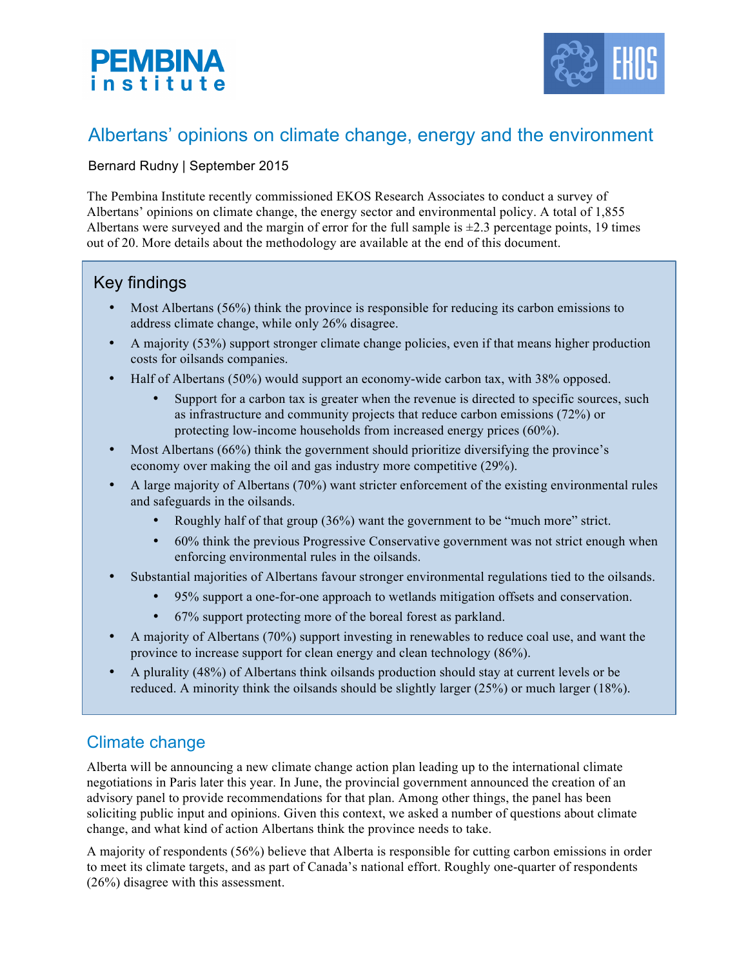



# Albertans' opinions on climate change, energy and the environment

### Bernard Rudny | September 2015

The Pembina Institute recently commissioned EKOS Research Associates to conduct a survey of Albertans' opinions on climate change, the energy sector and environmental policy. A total of 1,855 Albertans were surveyed and the margin of error for the full sample is  $\pm 2.3$  percentage points, 19 times out of 20. More details about the methodology are available at the end of this document.

## Key findings

- Most Albertans (56%) think the province is responsible for reducing its carbon emissions to address climate change, while only 26% disagree.
- A majority (53%) support stronger climate change policies, even if that means higher production costs for oilsands companies.
- Half of Albertans (50%) would support an economy-wide carbon tax, with 38% opposed.
	- Support for a carbon tax is greater when the revenue is directed to specific sources, such as infrastructure and community projects that reduce carbon emissions (72%) or protecting low-income households from increased energy prices (60%).
- Most Albertans (66%) think the government should prioritize diversifying the province's economy over making the oil and gas industry more competitive (29%).
- A large majority of Albertans (70%) want stricter enforcement of the existing environmental rules and safeguards in the oilsands.
	- Roughly half of that group (36%) want the government to be "much more" strict.
	- 60% think the previous Progressive Conservative government was not strict enough when enforcing environmental rules in the oilsands.
- Substantial majorities of Albertans favour stronger environmental regulations tied to the oilsands.
	- 95% support a one-for-one approach to wetlands mitigation offsets and conservation.
	- 67% support protecting more of the boreal forest as parkland.
- A majority of Albertans (70%) support investing in renewables to reduce coal use, and want the province to increase support for clean energy and clean technology (86%).
- A plurality (48%) of Albertans think oilsands production should stay at current levels or be reduced. A minority think the oilsands should be slightly larger (25%) or much larger (18%).

## Climate change

Alberta will be announcing a new climate change action plan leading up to the international climate negotiations in Paris later this year. In June, the provincial government announced the creation of an advisory panel to provide recommendations for that plan. Among other things, the panel has been soliciting public input and opinions. Given this context, we asked a number of questions about climate change, and what kind of action Albertans think the province needs to take.

A majority of respondents (56%) believe that Alberta is responsible for cutting carbon emissions in order to meet its climate targets, and as part of Canada's national effort. Roughly one-quarter of respondents (26%) disagree with this assessment.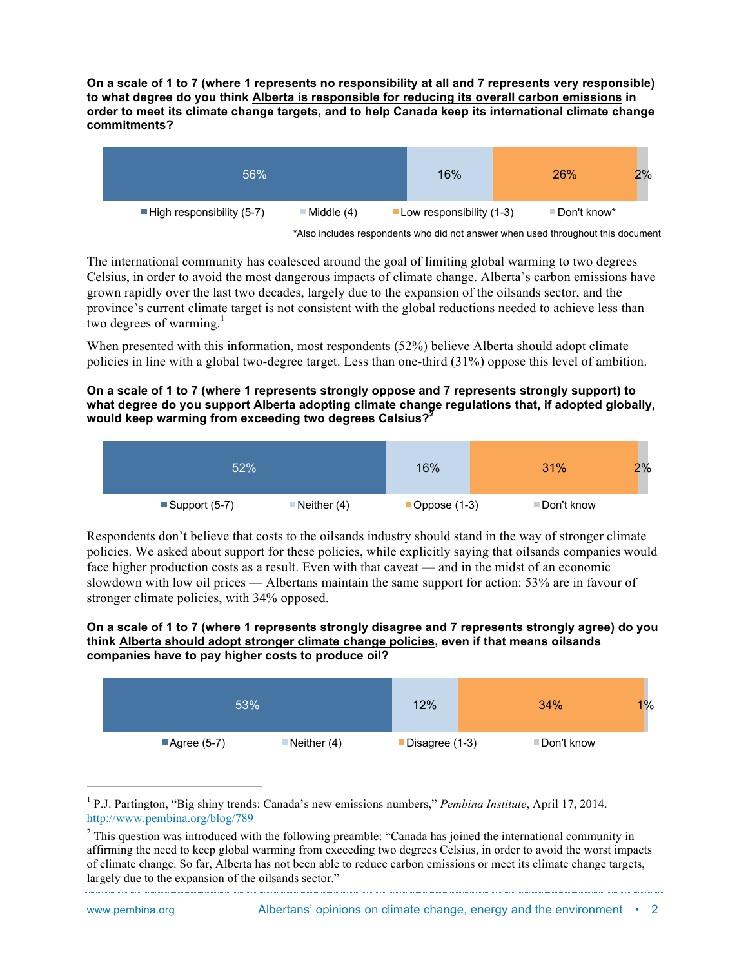**On a scale of 1 to 7 (where 1 represents no responsibility at all and 7 represents very responsible) to what degree do you think Alberta is responsible for reducing its overall carbon emissions in order to meet its climate change targets, and to help Canada keep its international climate change commitments?**

| 56%                                      |            | 16%                             | 26%          | $2\%$ |
|------------------------------------------|------------|---------------------------------|--------------|-------|
| $\blacksquare$ High responsibility (5-7) | Middle (4) | <b>Low responsibility (1-3)</b> | ≡Don't know* |       |

\*Also includes respondents who did not answer when used throughout this document

The international community has coalesced around the goal of limiting global warming to two degrees Celsius, in order to avoid the most dangerous impacts of climate change. Alberta's carbon emissions have grown rapidly over the last two decades, largely due to the expansion of the oilsands sector, and the province's current climate target is not consistent with the global reductions needed to achieve less than two degrees of warming. $<sup>1</sup>$ </sup>

When presented with this information, most respondents (52%) believe Alberta should adopt climate policies in line with a global two-degree target. Less than one-third (31%) oppose this level of ambition.

#### **On a scale of 1 to 7 (where 1 represents strongly oppose and 7 represents strongly support) to what degree do you support Alberta adopting climate change regulations that, if adopted globally, would keep warming from exceeding two degrees Celsius?<sup>2</sup>**



Respondents don't believe that costs to the oilsands industry should stand in the way of stronger climate policies. We asked about support for these policies, while explicitly saying that oilsands companies would face higher production costs as a result. Even with that caveat — and in the midst of an economic slowdown with low oil prices — Albertans maintain the same support for action: 53% are in favour of stronger climate policies, with 34% opposed.

#### **On a scale of 1 to 7 (where 1 represents strongly disagree and 7 represents strongly agree) do you think Alberta should adopt stronger climate change policies, even if that means oilsands companies have to pay higher costs to produce oil?**

| 53% |              | 12%         | 34%            | $1\%$       |  |
|-----|--------------|-------------|----------------|-------------|--|
|     | ■Agree (5-7) | Neither (4) | Disagree (1-3) | ■Don't know |  |

 <sup>1</sup> P.J. Partington, "Big shiny trends: Canada's new emissions numbers," *Pembina Institute*, April 17, 2014. http://www.pembina.org/blog/789

<sup>&</sup>lt;sup>2</sup> This question was introduced with the following preamble: "Canada has joined the international community in affirming the need to keep global warming from exceeding two degrees Celsius, in order to avoid the worst impacts of climate change. So far, Alberta has not been able to reduce carbon emissions or meet its climate change targets, largely due to the expansion of the oilsands sector."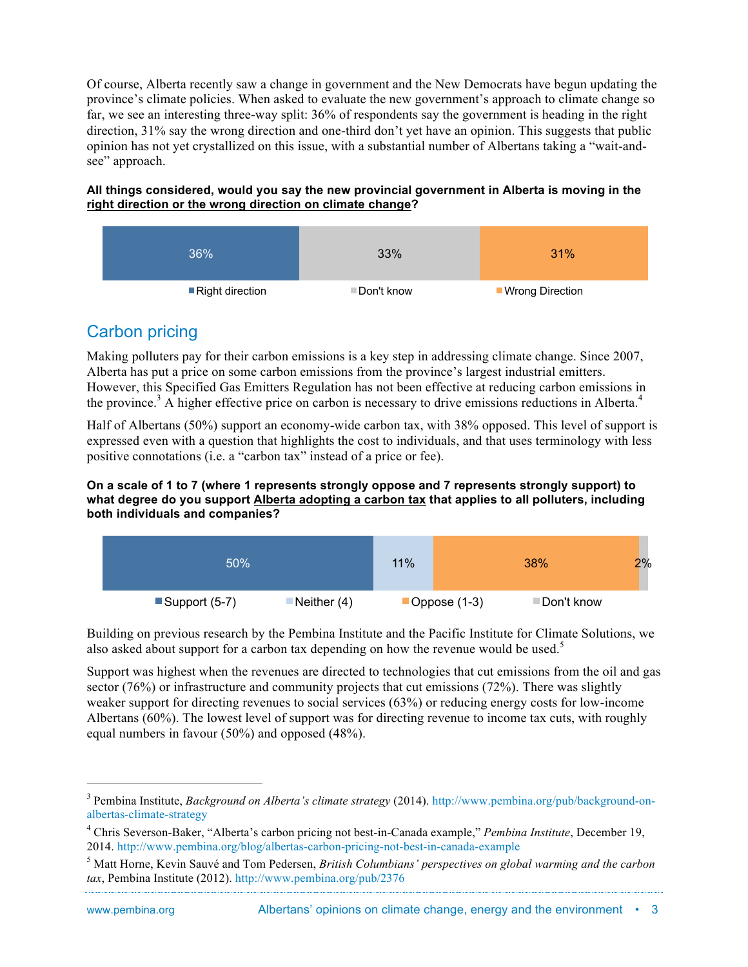Of course, Alberta recently saw a change in government and the New Democrats have begun updating the province's climate policies. When asked to evaluate the new government's approach to climate change so far, we see an interesting three-way split: 36% of respondents say the government is heading in the right direction, 31% say the wrong direction and one-third don't yet have an opinion. This suggests that public opinion has not yet crystallized on this issue, with a substantial number of Albertans taking a "wait-andsee" approach.

**All things considered, would you say the new provincial government in Alberta is moving in the right direction or the wrong direction on climate change?**



## Carbon pricing

Making polluters pay for their carbon emissions is a key step in addressing climate change. Since 2007, Alberta has put a price on some carbon emissions from the province's largest industrial emitters. However, this Specified Gas Emitters Regulation has not been effective at reducing carbon emissions in the province.<sup>3</sup> A higher effective price on carbon is necessary to drive emissions reductions in Alberta.<sup>4</sup>

Half of Albertans (50%) support an economy-wide carbon tax, with 38% opposed. This level of support is expressed even with a question that highlights the cost to individuals, and that uses terminology with less positive connotations (i.e. a "carbon tax" instead of a price or fee).

#### **On a scale of 1 to 7 (where 1 represents strongly oppose and 7 represents strongly support) to what degree do you support Alberta adopting a carbon tax that applies to all polluters, including both individuals and companies?**

| 50% |                                | 11% |  | 38%            | 2%          |  |
|-----|--------------------------------|-----|--|----------------|-------------|--|
|     | Support (5-7)<br>Neither $(4)$ |     |  | Oppose $(1-3)$ | ■Don't know |  |

Building on previous research by the Pembina Institute and the Pacific Institute for Climate Solutions, we also asked about support for a carbon tax depending on how the revenue would be used.<sup>5</sup>

Support was highest when the revenues are directed to technologies that cut emissions from the oil and gas sector (76%) or infrastructure and community projects that cut emissions (72%). There was slightly weaker support for directing revenues to social services (63%) or reducing energy costs for low-income Albertans (60%). The lowest level of support was for directing revenue to income tax cuts, with roughly equal numbers in favour (50%) and opposed (48%).

 <sup>3</sup> Pembina Institute, *Background on Alberta's climate strategy* (2014). http://www.pembina.org/pub/background-onalbertas-climate-strategy

<sup>4</sup> Chris Severson-Baker, "Alberta's carbon pricing not best-in-Canada example," *Pembina Institute*, December 19, 2014. http://www.pembina.org/blog/albertas-carbon-pricing-not-best-in-canada-example

<sup>5</sup> Matt Horne, Kevin Sauvé and Tom Pedersen, *British Columbians' perspectives on global warming and the carbon tax*, Pembina Institute (2012). http://www.pembina.org/pub/2376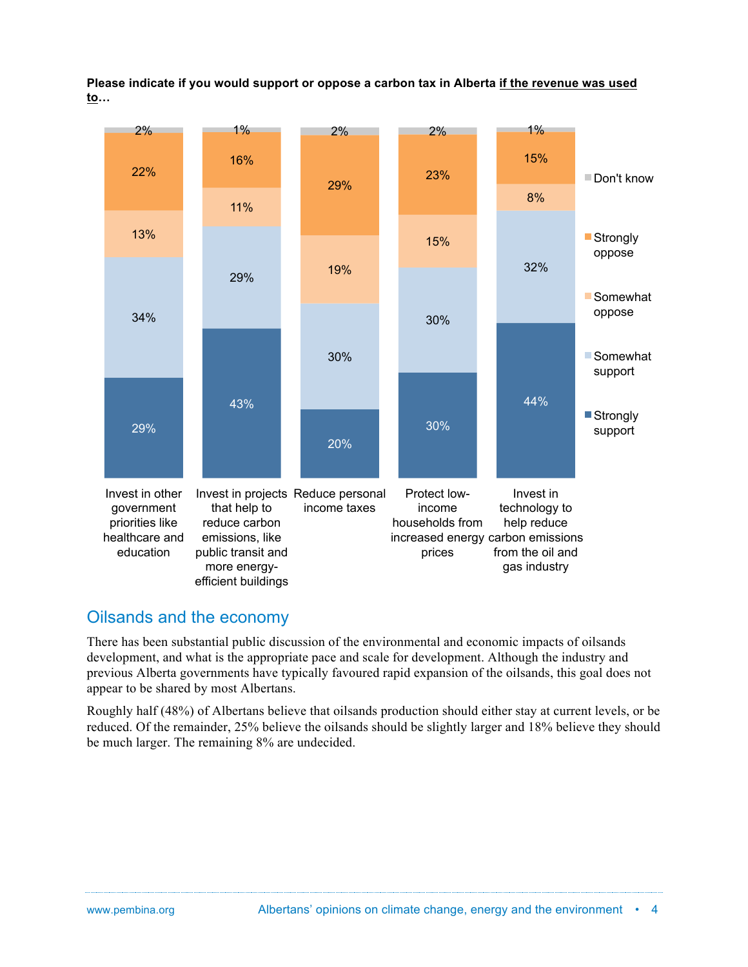**Please indicate if you would support or oppose a carbon tax in Alberta if the revenue was used to…**



### Oilsands and the economy

There has been substantial public discussion of the environmental and economic impacts of oilsands development, and what is the appropriate pace and scale for development. Although the industry and previous Alberta governments have typically favoured rapid expansion of the oilsands, this goal does not appear to be shared by most Albertans.

Roughly half (48%) of Albertans believe that oilsands production should either stay at current levels, or be reduced. Of the remainder, 25% believe the oilsands should be slightly larger and 18% believe they should be much larger. The remaining 8% are undecided.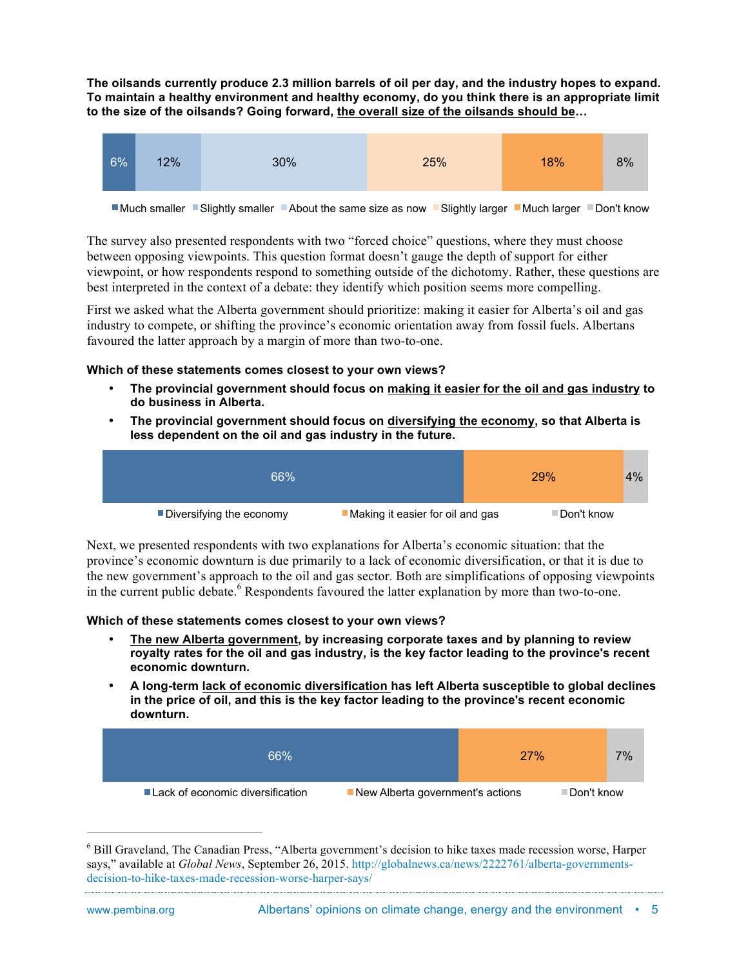**The oilsands currently produce 2.3 million barrels of oil per day, and the industry hopes to expand. To maintain a healthy environment and healthy economy, do you think there is an appropriate limit to the size of the oilsands? Going forward, the overall size of the oilsands should be…**



■Much smaller ■Slightly smaller ■About the same size as now ■Slightly larger ■Much larger ■Don't know

The survey also presented respondents with two "forced choice" questions, where they must choose between opposing viewpoints. This question format doesn't gauge the depth of support for either viewpoint, or how respondents respond to something outside of the dichotomy. Rather, these questions are best interpreted in the context of a debate: they identify which position seems more compelling.

First we asked what the Alberta government should prioritize: making it easier for Alberta's oil and gas industry to compete, or shifting the province's economic orientation away from fossil fuels. Albertans favoured the latter approach by a margin of more than two-to-one.

#### **Which of these statements comes closest to your own views?**

- **The provincial government should focus on making it easier for the oil and gas industry to do business in Alberta.**
- **The provincial government should focus on diversifying the economy, so that Alberta is less dependent on the oil and gas industry in the future.**

| 66%                      |                                  | <b>29%</b>  | 4% |
|--------------------------|----------------------------------|-------------|----|
| Diversifying the economy | Making it easier for oil and gas | ■Don't know |    |

Next, we presented respondents with two explanations for Alberta's economic situation: that the province's economic downturn is due primarily to a lack of economic diversification, or that it is due to the new government's approach to the oil and gas sector. Both are simplifications of opposing viewpoints in the current public debate. <sup>6</sup> Respondents favoured the latter explanation by more than two-to-one.

#### **Which of these statements comes closest to your own views?**

- **The new Alberta government, by increasing corporate taxes and by planning to review royalty rates for the oil and gas industry, is the key factor leading to the province's recent economic downturn.**
- **A long-term lack of economic diversification has left Alberta susceptible to global declines in the price of oil, and this is the key factor leading to the province's recent economic downturn.**

| 66%                                |                                  | 27% |             | 7% |
|------------------------------------|----------------------------------|-----|-------------|----|
| ■ Lack of economic diversification | New Alberta government's actions |     | ⊟Don't know |    |

 <sup>6</sup> Bill Graveland, The Canadian Press, "Alberta government's decision to hike taxes made recession worse, Harper says," available at *Global News*, September 26, 2015. http://globalnews.ca/news/2222761/alberta-governmentsdecision-to-hike-taxes-made-recession-worse-harper-says/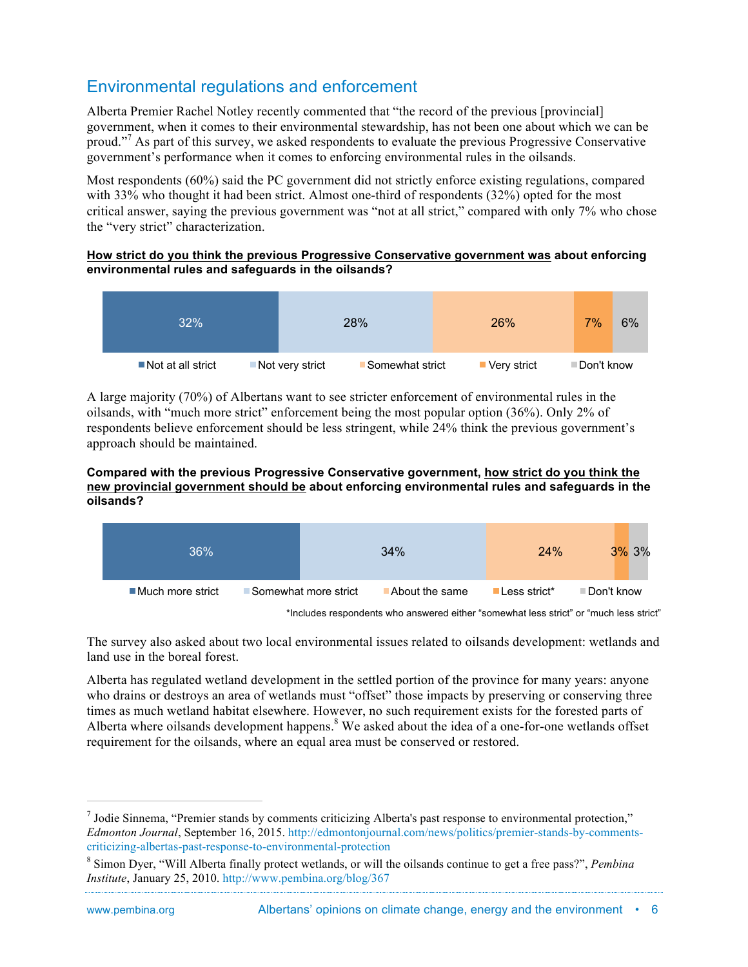## Environmental regulations and enforcement

Alberta Premier Rachel Notley recently commented that "the record of the previous [provincial] government, when it comes to their environmental stewardship, has not been one about which we can be proud."<sup>7</sup> As part of this survey, we asked respondents to evaluate the previous Progressive Conservative government's performance when it comes to enforcing environmental rules in the oilsands.

Most respondents (60%) said the PC government did not strictly enforce existing regulations, compared with 33% who thought it had been strict. Almost one-third of respondents (32%) opted for the most critical answer, saying the previous government was "not at all strict," compared with only 7% who chose the "very strict" characterization.

#### **How strict do you think the previous Progressive Conservative government was about enforcing environmental rules and safeguards in the oilsands?**



A large majority (70%) of Albertans want to see stricter enforcement of environmental rules in the oilsands, with "much more strict" enforcement being the most popular option (36%). Only 2% of respondents believe enforcement should be less stringent, while 24% think the previous government's approach should be maintained.

#### **Compared with the previous Progressive Conservative government, how strict do you think the new provincial government should be about enforcing environmental rules and safeguards in the oilsands?**

| 36%                             |                      | 34%            | <b>24%</b>    | $3\%$ 3%    |
|---------------------------------|----------------------|----------------|---------------|-------------|
| $\blacksquare$ Much more strict | Somewhat more strict | About the same | ■Less strict* | ⊟Don't know |

\*Includes respondents who answered either "somewhat less strict" or "much less strict"

The survey also asked about two local environmental issues related to oilsands development: wetlands and land use in the boreal forest.

Alberta has regulated wetland development in the settled portion of the province for many years: anyone who drains or destroys an area of wetlands must "offset" those impacts by preserving or conserving three times as much wetland habitat elsewhere. However, no such requirement exists for the forested parts of Alberta where oilsands development happens. $8$  We asked about the idea of a one-for-one wetlands offset requirement for the oilsands, where an equal area must be conserved or restored.

 $<sup>7</sup>$  Jodie Sinnema, "Premier stands by comments criticizing Alberta's past response to environmental protection,"</sup> *Edmonton Journal*, September 16, 2015. http://edmontonjournal.com/news/politics/premier-stands-by-commentscriticizing-albertas-past-response-to-environmental-protection

<sup>8</sup> Simon Dyer, "Will Alberta finally protect wetlands, or will the oilsands continue to get a free pass?", *Pembina Institute*, January 25, 2010. http://www.pembina.org/blog/367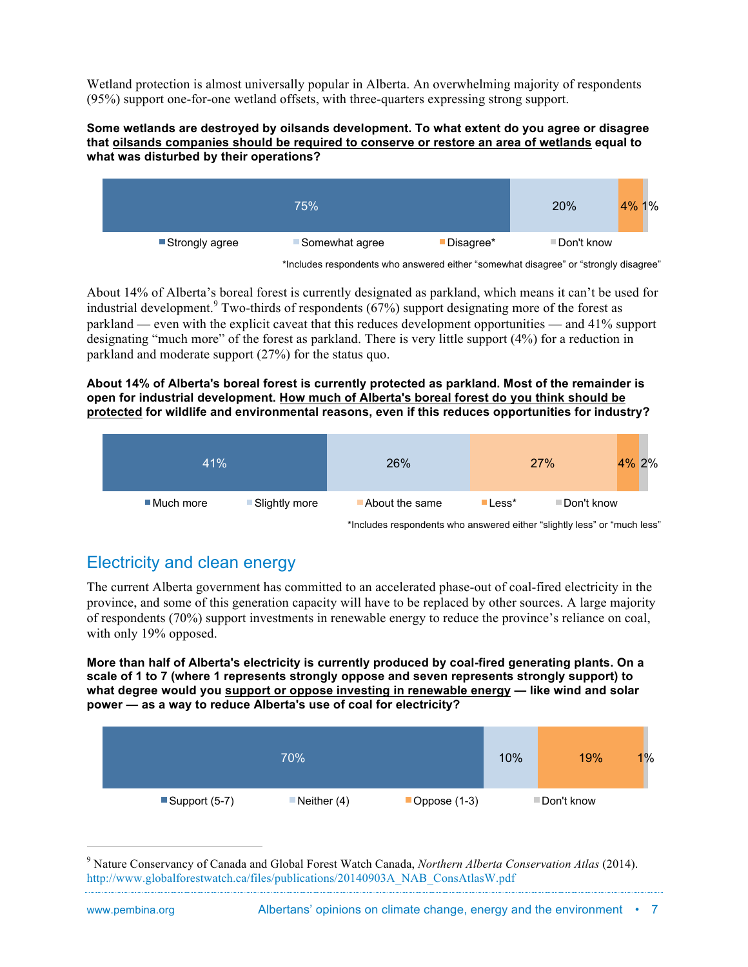Wetland protection is almost universally popular in Alberta. An overwhelming majority of respondents (95%) support one-for-one wetland offsets, with three-quarters expressing strong support.

#### **Some wetlands are destroyed by oilsands development. To what extent do you agree or disagree that oilsands companies should be required to conserve or restore an area of wetlands equal to what was disturbed by their operations?**



<sup>\*</sup>Includes respondents who answered either "somewhat disagree" or "strongly disagree"

About 14% of Alberta's boreal forest is currently designated as parkland, which means it can't be used for industrial development.<sup>9</sup> Two-thirds of respondents (67%) support designating more of the forest as parkland — even with the explicit caveat that this reduces development opportunities — and 41% support designating "much more" of the forest as parkland. There is very little support (4%) for a reduction in parkland and moderate support (27%) for the status quo.

#### **About 14% of Alberta's boreal forest is currently protected as parkland. Most of the remainder is open for industrial development. How much of Alberta's boreal forest do you think should be protected for wildlife and environmental reasons, even if this reduces opportunities for industry?**

| 41%        |               | 26%            |                          | 27%         | 4% 2% |
|------------|---------------|----------------|--------------------------|-------------|-------|
| ■Much more | Slightly more | About the same | $\blacksquare$ Less $^*$ | ■Don't know |       |

\*Includes respondents who answered either "slightly less" or "much less"

# Electricity and clean energy

The current Alberta government has committed to an accelerated phase-out of coal-fired electricity in the province, and some of this generation capacity will have to be replaced by other sources. A large majority of respondents (70%) support investments in renewable energy to reduce the province's reliance on coal, with only 19% opposed.

**More than half of Alberta's electricity is currently produced by coal-fired generating plants. On a scale of 1 to 7 (where 1 represents strongly oppose and seven represents strongly support) to what degree would you support or oppose investing in renewable energy — like wind and solar power — as a way to reduce Alberta's use of coal for electricity?**

|                              | 70%           |                | 10%         | 19% | $1\%$ |
|------------------------------|---------------|----------------|-------------|-----|-------|
| $\blacksquare$ Support (5-7) | Neither $(4)$ | Oppose $(1-3)$ | ■Don't know |     |       |

 <sup>9</sup> Nature Conservancy of Canada and Global Forest Watch Canada, *Northern Alberta Conservation Atlas* (2014). http://www.globalforestwatch.ca/files/publications/20140903A\_NAB\_ConsAtlasW.pdf